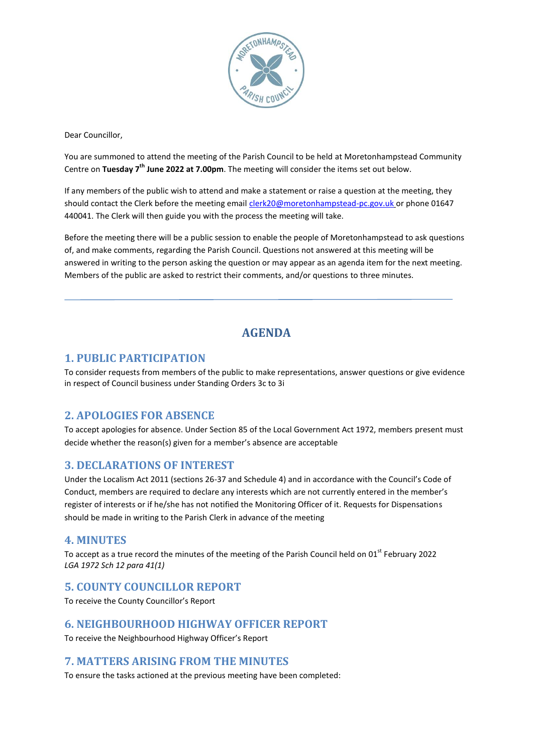

Dear Councillor,

You are summoned to attend the meeting of the Parish Council to be held at Moretonhampstead Community Centre on Tuesday 7<sup>th</sup> June 2022 at 7.00pm. The meeting will consider the items set out below.

If any members of the public wish to attend and make a statement or raise a question at the meeting, they should contact the Clerk before the meeting email [clerk20@moretonhampstead-pc.gov.uk](mailto:clerk20@moretonhampstead-pc.gov.uk) or phone 01647 440041. The Clerk will then guide you with the process the meeting will take.

Before the meeting there will be a public session to enable the people of Moretonhampstead to ask questions of, and make comments, regarding the Parish Council. Questions not answered at this meeting will be answered in writing to the person asking the question or may appear as an agenda item for the next meeting. Members of the public are asked to restrict their comments, and/or questions to three minutes.

# **AGENDA**

### **1. PUBLIC PARTICIPATION**

To consider requests from members of the public to make representations, answer questions or give evidence in respect of Council business under Standing Orders 3c to 3i

## **2. APOLOGIES FOR ABSENCE**

To accept apologies for absence. Under Section 85 of the Local Government Act 1972, members present must decide whether the reason(s) given for a member's absence are acceptable

#### **3. DECLARATIONS OF INTEREST**

Under the Localism Act 2011 (sections 26-37 and Schedule 4) and in accordance with the Council's Code of Conduct, members are required to declare any interests which are not currently entered in the member's register of interests or if he/she has not notified the Monitoring Officer of it. Requests for Dispensations should be made in writing to the Parish Clerk in advance of the meeting

#### **4. MINUTES**

To accept as a true record the minutes of the meeting of the Parish Council held on 01<sup>st</sup> February 2022 *LGA 1972 Sch 12 para 41(1)*

## **5. COUNTY COUNCILLOR REPORT**

To receive the County Councillor's Report

#### **6. NEIGHBOURHOOD HIGHWAY OFFICER REPORT**

To receive the Neighbourhood Highway Officer's Report

#### **7. MATTERS ARISING FROM THE MINUTES**

To ensure the tasks actioned at the previous meeting have been completed: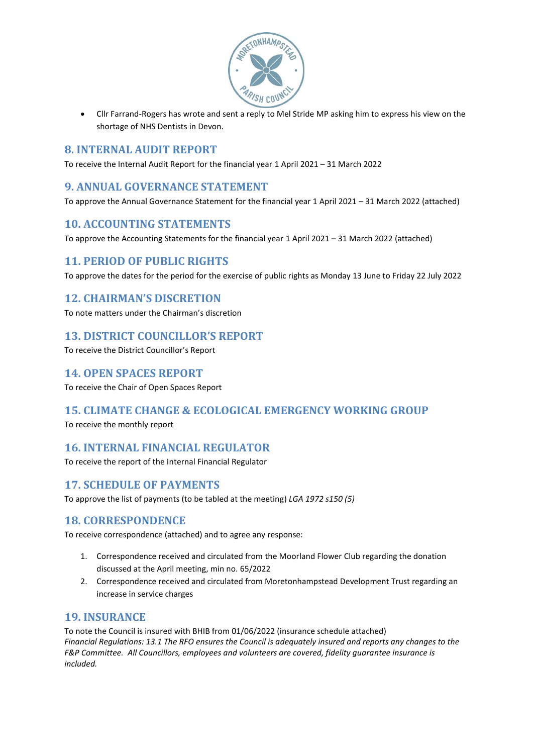

 Cllr Farrand-Rogers has wrote and sent a reply to Mel Stride MP asking him to express his view on the shortage of NHS Dentists in Devon.

### **8. INTERNAL AUDIT REPORT**

To receive the Internal Audit Report for the financial year 1 April 2021 – 31 March 2022

### **9. ANNUAL GOVERNANCE STATEMENT**

To approve the Annual Governance Statement for the financial year 1 April 2021 – 31 March 2022 (attached)

### **10. ACCOUNTING STATEMENTS**

To approve the Accounting Statements for the financial year 1 April 2021 – 31 March 2022 (attached)

## **11. PERIOD OF PUBLIC RIGHTS**

To approve the dates for the period for the exercise of public rights as Monday 13 June to Friday 22 July 2022

### **12. CHAIRMAN'S DISCRETION**

To note matters under the Chairman's discretion

### **13. DISTRICT COUNCILLOR'S REPORT**

To receive the District Councillor's Report

#### **14. OPEN SPACES REPORT**

To receive the Chair of Open Spaces Report

#### **15. CLIMATE CHANGE & ECOLOGICAL EMERGENCY WORKING GROUP**

To receive the monthly report

## **16. INTERNAL FINANCIAL REGULATOR**

To receive the report of the Internal Financial Regulator

## **17. SCHEDULE OF PAYMENTS**

To approve the list of payments (to be tabled at the meeting) *LGA 1972 s150 (5)*

## **18. CORRESPONDENCE**

To receive correspondence (attached) and to agree any response:

- 1. Correspondence received and circulated from the Moorland Flower Club regarding the donation discussed at the April meeting, min no. 65/2022
- 2. Correspondence received and circulated from Moretonhampstead Development Trust regarding an increase in service charges

#### **19. INSURANCE**

To note the Council is insured with BHIB from 01/06/2022 (insurance schedule attached) *Financial Regulations: 13.1 The RFO ensures the Council is adequately insured and reports any changes to the F&P Committee. All Councillors, employees and volunteers are covered, fidelity guarantee insurance is included.*